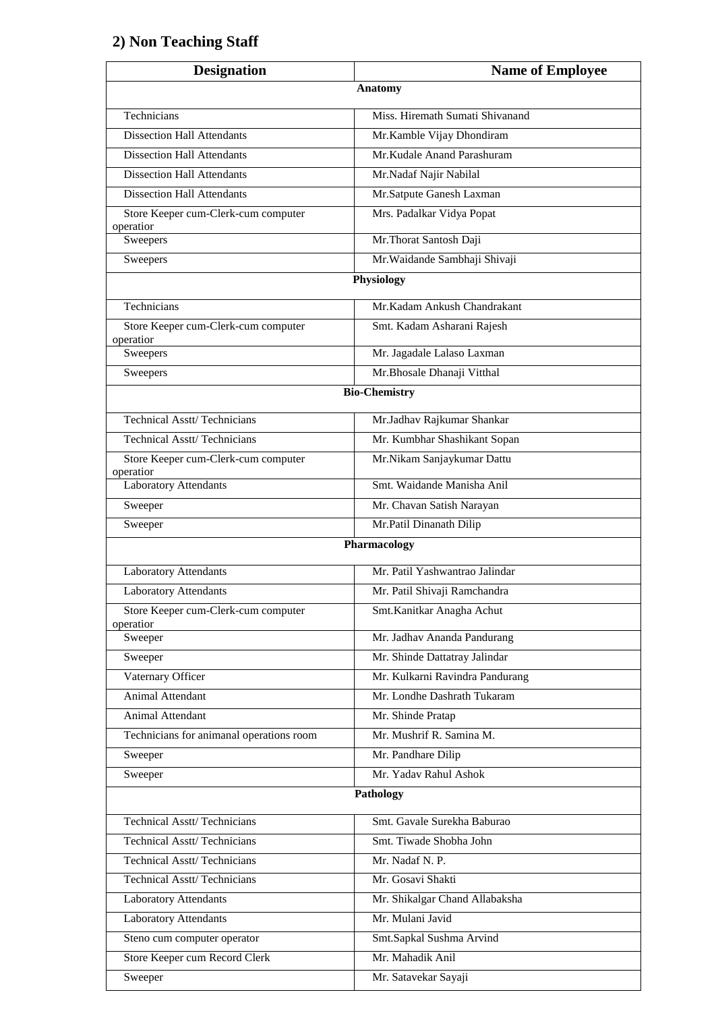## **2) Non Teaching Staff**

| <b>Designation</b>                               | <b>Name of Employee</b>         |
|--------------------------------------------------|---------------------------------|
| <b>Anatomy</b>                                   |                                 |
| Technicians                                      | Miss. Hiremath Sumati Shivanand |
| <b>Dissection Hall Attendants</b>                | Mr.Kamble Vijay Dhondiram       |
| Dissection Hall Attendants                       | Mr.Kudale Anand Parashuram      |
| <b>Dissection Hall Attendants</b>                | Mr.Nadaf Najir Nabilal          |
| <b>Dissection Hall Attendants</b>                | Mr.Satpute Ganesh Laxman        |
| Store Keeper cum-Clerk-cum computer<br>operatior | Mrs. Padalkar Vidya Popat       |
| Sweepers                                         | Mr. Thorat Santosh Daji         |
| Sweepers                                         | Mr. Waidande Sambhaji Shivaji   |
|                                                  | Physiology                      |
| Technicians                                      | Mr.Kadam Ankush Chandrakant     |
| Store Keeper cum-Clerk-cum computer<br>operatior | Smt. Kadam Asharani Rajesh      |
| Sweepers                                         | Mr. Jagadale Lalaso Laxman      |
| Sweepers                                         | Mr.Bhosale Dhanaji Vitthal      |
|                                                  | <b>Bio-Chemistry</b>            |
| <b>Technical Asstt/Technicians</b>               | Mr.Jadhav Rajkumar Shankar      |
| <b>Technical Asstt/Technicians</b>               | Mr. Kumbhar Shashikant Sopan    |
| Store Keeper cum-Clerk-cum computer              | Mr.Nikam Sanjaykumar Dattu      |
| operatior<br><b>Laboratory Attendants</b>        | Smt. Waidande Manisha Anil      |
| Sweeper                                          | Mr. Chavan Satish Narayan       |
| Sweeper                                          | Mr.Patil Dinanath Dilip         |
|                                                  | Pharmacology                    |
| <b>Laboratory Attendants</b>                     | Mr. Patil Yashwantrao Jalindar  |
| <b>Laboratory Attendants</b>                     | Mr. Patil Shivaji Ramchandra    |
| Store Keeper cum-Clerk-cum computer<br>operatior | Smt. Kanitkar Anagha Achut      |
| Sweeper                                          | Mr. Jadhav Ananda Pandurang     |
| Sweeper                                          | Mr. Shinde Dattatray Jalindar   |
| Vaternary Officer                                | Mr. Kulkarni Ravindra Pandurang |
| Animal Attendant                                 | Mr. Londhe Dashrath Tukaram     |
| <b>Animal Attendant</b>                          | Mr. Shinde Pratap               |
| Technicians for animanal operations room         | Mr. Mushrif R. Samina M.        |
| Sweeper                                          | Mr. Pandhare Dilip              |
| Sweeper                                          | Mr. Yadav Rahul Ashok           |
|                                                  | Pathology                       |
| <b>Technical Asstt/Technicians</b>               | Smt. Gavale Surekha Baburao     |
| Technical Asstt/Technicians                      | Smt. Tiwade Shobha John         |
| <b>Technical Asstt/Technicians</b>               | Mr. Nadaf N. P.                 |
| <b>Technical Asstt/Technicians</b>               | Mr. Gosavi Shakti               |
| <b>Laboratory Attendants</b>                     | Mr. Shikalgar Chand Allabaksha  |
| Laboratory Attendants                            | Mr. Mulani Javid                |
| Steno cum computer operator                      | Smt.Sapkal Sushma Arvind        |
| Store Keeper cum Record Clerk                    | Mr. Mahadik Anil                |
| Sweeper                                          | Mr. Satavekar Sayaji            |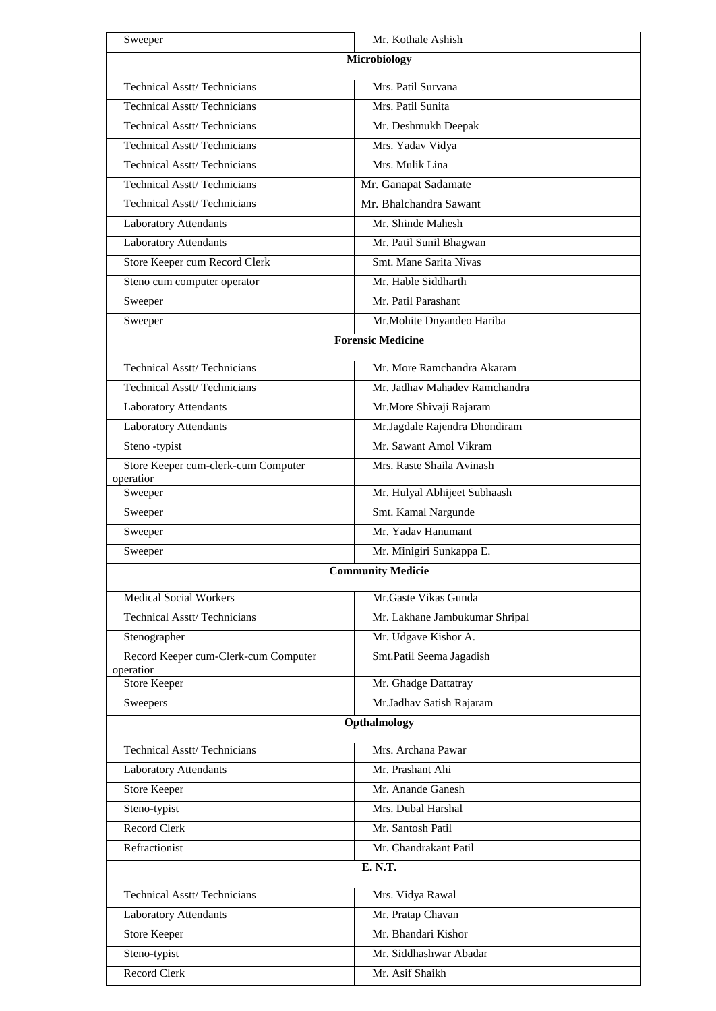| Sweeper                                          | Mr. Kothale Ashish             |  |
|--------------------------------------------------|--------------------------------|--|
| <b>Microbiology</b>                              |                                |  |
| <b>Technical Asstt/Technicians</b>               | Mrs. Patil Survana             |  |
| <b>Technical Asstt/Technicians</b>               | Mrs. Patil Sunita              |  |
| <b>Technical Asstt/Technicians</b>               | Mr. Deshmukh Deepak            |  |
| <b>Technical Asstt/Technicians</b>               | Mrs. Yadav Vidya               |  |
| <b>Technical Asstt/Technicians</b>               | Mrs. Mulik Lina                |  |
| <b>Technical Asstt/Technicians</b>               | Mr. Ganapat Sadamate           |  |
| <b>Technical Asstt/Technicians</b>               | Mr. Bhalchandra Sawant         |  |
| <b>Laboratory Attendants</b>                     | Mr. Shinde Mahesh              |  |
| Laboratory Attendants                            | Mr. Patil Sunil Bhagwan        |  |
| Store Keeper cum Record Clerk                    | Smt. Mane Sarita Nivas         |  |
| Steno cum computer operator                      | Mr. Hable Siddharth            |  |
| Sweeper                                          | Mr. Patil Parashant            |  |
| Sweeper                                          | Mr.Mohite Dnyandeo Hariba      |  |
|                                                  | <b>Forensic Medicine</b>       |  |
| <b>Technical Asstt/Technicians</b>               | Mr. More Ramchandra Akaram     |  |
| <b>Technical Asstt/Technicians</b>               | Mr. Jadhav Mahadev Ramchandra  |  |
| <b>Laboratory Attendants</b>                     | Mr.More Shivaji Rajaram        |  |
| <b>Laboratory Attendants</b>                     | Mr.Jagdale Rajendra Dhondiram  |  |
| Steno-typist                                     | Mr. Sawant Amol Vikram         |  |
| Store Keeper cum-clerk-cum Computer<br>operation | Mrs. Raste Shaila Avinash      |  |
| Sweeper                                          | Mr. Hulyal Abhijeet Subhaash   |  |
| Sweeper                                          | Smt. Kamal Nargunde            |  |
| Sweeper                                          | Mr. Yadav Hanumant             |  |
| Sweeper                                          | Mr. Minigiri Sunkappa E.       |  |
|                                                  | <b>Community Medicie</b>       |  |
| <b>Medical Social Workers</b>                    | Mr.Gaste Vikas Gunda           |  |
| <b>Technical Asstt/Technicians</b>               | Mr. Lakhane Jambukumar Shripal |  |
| Stenographer                                     | Mr. Udgave Kishor A.           |  |
| Record Keeper cum-Clerk-cum Computer             | Smt.Patil Seema Jagadish       |  |
| operation<br><b>Store Keeper</b>                 | Mr. Ghadge Dattatray           |  |
| Sweepers                                         | Mr.Jadhav Satish Rajaram       |  |
| Opthalmology                                     |                                |  |
| <b>Technical Asstt/Technicians</b>               | Mrs. Archana Pawar             |  |
| <b>Laboratory Attendants</b>                     | Mr. Prashant Ahi               |  |
| <b>Store Keeper</b>                              | Mr. Anande Ganesh              |  |
| Steno-typist                                     | Mrs. Dubal Harshal             |  |
| <b>Record Clerk</b>                              | Mr. Santosh Patil              |  |
| Refractionist                                    | Mr. Chandrakant Patil          |  |
|                                                  | E. N.T.                        |  |
| <b>Technical Asstt/Technicians</b>               | Mrs. Vidya Rawal               |  |
| Laboratory Attendants                            | Mr. Pratap Chavan              |  |
| <b>Store Keeper</b>                              | Mr. Bhandari Kishor            |  |
| Steno-typist                                     | Mr. Siddhashwar Abadar         |  |
| Record Clerk                                     | Mr. Asif Shaikh                |  |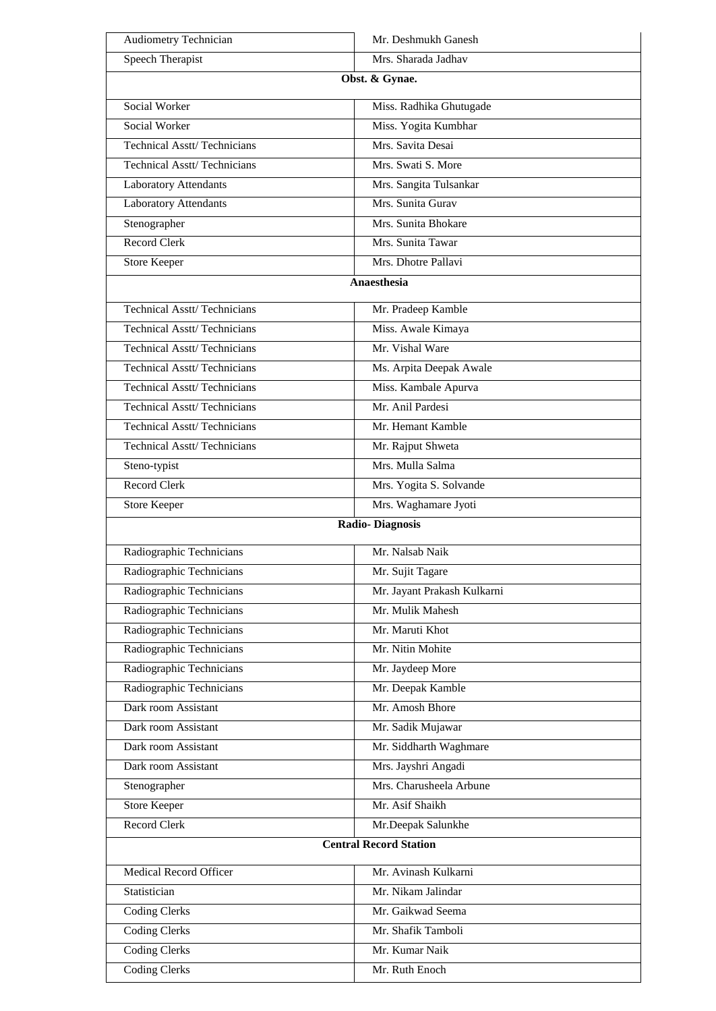| <b>Audiometry Technician</b>       | Mr. Deshmukh Ganesh           |
|------------------------------------|-------------------------------|
| Speech Therapist                   | Mrs. Sharada Jadhav           |
| Obst. & Gynae.                     |                               |
| <b>Social Worker</b>               | Miss. Radhika Ghutugade       |
| Social Worker                      | Miss. Yogita Kumbhar          |
| <b>Technical Asstt/Technicians</b> | Mrs. Savita Desai             |
| <b>Technical Asstt/Technicians</b> | Mrs. Swati S. More            |
| <b>Laboratory Attendants</b>       | Mrs. Sangita Tulsankar        |
| <b>Laboratory Attendants</b>       | Mrs. Sunita Gurav             |
| Stenographer                       | Mrs. Sunita Bhokare           |
| <b>Record Clerk</b>                | Mrs. Sunita Tawar             |
| <b>Store Keeper</b>                | Mrs. Dhotre Pallavi           |
|                                    | Anaesthesia                   |
| <b>Technical Asstt/Technicians</b> | Mr. Pradeep Kamble            |
| <b>Technical Asstt/Technicians</b> | Miss. Awale Kimaya            |
| <b>Technical Asstt/Technicians</b> | Mr. Vishal Ware               |
| <b>Technical Asstt/Technicians</b> | Ms. Arpita Deepak Awale       |
| <b>Technical Asstt/Technicians</b> | Miss. Kambale Apurva          |
| <b>Technical Asstt/Technicians</b> | Mr. Anil Pardesi              |
| <b>Technical Asstt/Technicians</b> | Mr. Hemant Kamble             |
| <b>Technical Asstt/Technicians</b> | Mr. Rajput Shweta             |
| Steno-typist                       | Mrs. Mulla Salma              |
| <b>Record Clerk</b>                | Mrs. Yogita S. Solvande       |
| <b>Store Keeper</b>                | Mrs. Waghamare Jyoti          |
|                                    | <b>Radio-Diagnosis</b>        |
| Radiographic Technicians           | Mr. Nalsab Naik               |
| Radiographic Technicians           | Mr. Sujit Tagare              |
| Radiographic Technicians           | Mr. Jayant Prakash Kulkarni   |
| Radiographic Technicians           | Mr. Mulik Mahesh              |
| Radiographic Technicians           | Mr. Maruti Khot               |
| Radiographic Technicians           | Mr. Nitin Mohite              |
| Radiographic Technicians           | Mr. Jaydeep More              |
| Radiographic Technicians           | Mr. Deepak Kamble             |
| Dark room Assistant                | Mr. Amosh Bhore               |
| Dark room Assistant                | Mr. Sadik Mujawar             |
| Dark room Assistant                | Mr. Siddharth Waghmare        |
| Dark room Assistant                | Mrs. Jayshri Angadi           |
| Stenographer                       | Mrs. Charusheela Arbune       |
| <b>Store Keeper</b>                | Mr. Asif Shaikh               |
| <b>Record Clerk</b>                | Mr.Deepak Salunkhe            |
|                                    | <b>Central Record Station</b> |
| Medical Record Officer             | Mr. Avinash Kulkarni          |
| Statistician                       | Mr. Nikam Jalindar            |
| <b>Coding Clerks</b>               | Mr. Gaikwad Seema             |
| <b>Coding Clerks</b>               | Mr. Shafik Tamboli            |
| <b>Coding Clerks</b>               | Mr. Kumar Naik                |
| <b>Coding Clerks</b>               | Mr. Ruth Enoch                |
|                                    |                               |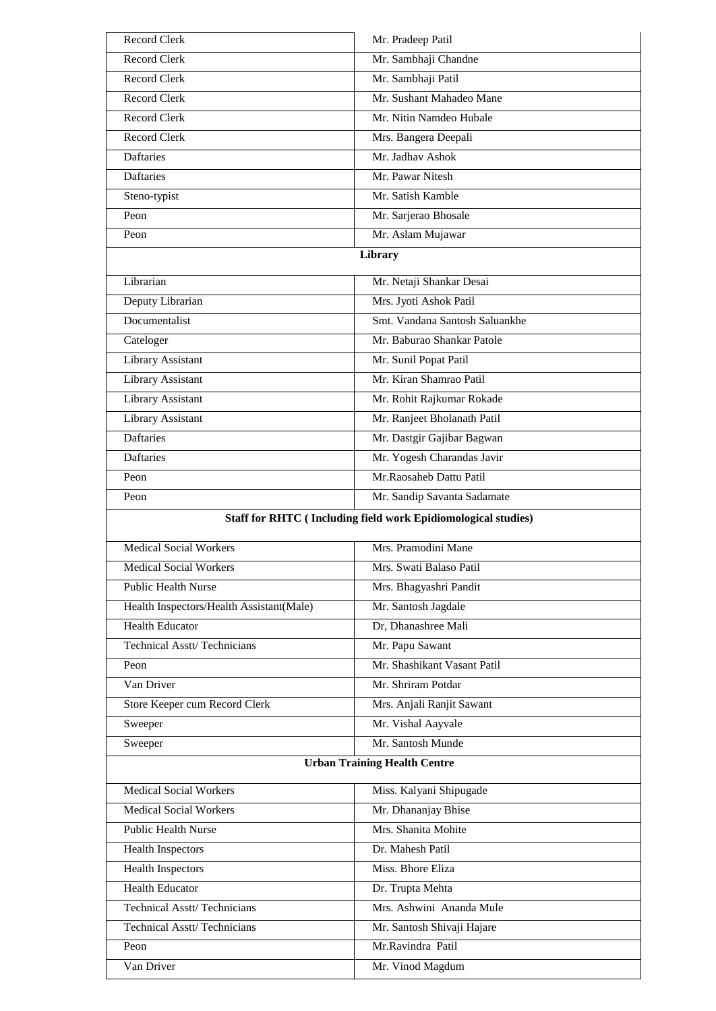| <b>Record Clerk</b>                      | Mr. Pradeep Patil                                                    |
|------------------------------------------|----------------------------------------------------------------------|
| <b>Record Clerk</b>                      | Mr. Sambhaji Chandne                                                 |
| <b>Record Clerk</b>                      | Mr. Sambhaji Patil                                                   |
| <b>Record Clerk</b>                      | Mr. Sushant Mahadeo Mane                                             |
| <b>Record Clerk</b>                      | Mr. Nitin Namdeo Hubale                                              |
| <b>Record Clerk</b>                      | Mrs. Bangera Deepali                                                 |
| Daftaries                                | Mr. Jadhav Ashok                                                     |
| Daftaries                                | Mr. Pawar Nitesh                                                     |
| Steno-typist                             | Mr. Satish Kamble                                                    |
| Peon                                     | Mr. Sarjerao Bhosale                                                 |
| Peon                                     | Mr. Aslam Mujawar                                                    |
|                                          | Library                                                              |
| Librarian                                | Mr. Netaji Shankar Desai                                             |
| Deputy Librarian                         | Mrs. Jyoti Ashok Patil                                               |
| Documentalist                            | Smt. Vandana Santosh Saluankhe                                       |
| Cateloger                                | Mr. Baburao Shankar Patole                                           |
|                                          |                                                                      |
| Library Assistant                        | Mr. Sunil Popat Patil<br>Mr. Kiran Shamrao Patil                     |
| <b>Library Assistant</b>                 |                                                                      |
| Library Assistant                        | Mr. Rohit Rajkumar Rokade                                            |
| Library Assistant                        | Mr. Ranjeet Bholanath Patil                                          |
| <b>Daftaries</b>                         | Mr. Dastgir Gajibar Bagwan                                           |
| Daftaries                                | Mr. Yogesh Charandas Javir                                           |
| Peon                                     | Mr.Raosaheb Dattu Patil                                              |
| Peon                                     | Mr. Sandip Savanta Sadamate                                          |
|                                          |                                                                      |
|                                          | <b>Staff for RHTC (Including field work Epidiomological studies)</b> |
| <b>Medical Social Workers</b>            | Mrs. Pramodini Mane                                                  |
| Medical Social Workers                   | Mrs. Swati Balaso Patil                                              |
| <b>Public Health Nurse</b>               | Mrs. Bhagyashri Pandit                                               |
| Health Inspectors/Health Assistant(Male) | Mr. Santosh Jagdale                                                  |
| <b>Health Educator</b>                   | Dr, Dhanashree Mali                                                  |
| <b>Technical Asstt/Technicians</b>       | Mr. Papu Sawant                                                      |
| Peon                                     | Mr. Shashikant Vasant Patil                                          |
| Van Driver                               | Mr. Shriram Potdar                                                   |
| Store Keeper cum Record Clerk            | Mrs. Anjali Ranjit Sawant                                            |
| Sweeper                                  | Mr. Vishal Aayvale                                                   |
| Sweeper                                  | Mr. Santosh Munde                                                    |
|                                          | <b>Urban Training Health Centre</b>                                  |
|                                          |                                                                      |
| <b>Medical Social Workers</b>            | Miss. Kalyani Shipugade                                              |
| <b>Medical Social Workers</b>            | Mr. Dhananjay Bhise                                                  |
| <b>Public Health Nurse</b>               | Mrs. Shanita Mohite                                                  |
| <b>Health Inspectors</b>                 | Dr. Mahesh Patil                                                     |
| <b>Health Inspectors</b>                 | Miss. Bhore Eliza                                                    |
| <b>Health Educator</b>                   | Dr. Trupta Mehta                                                     |
| <b>Technical Asstt/Technicians</b>       | Mrs. Ashwini Ananda Mule                                             |
| <b>Technical Asstt/Technicians</b>       | Mr. Santosh Shivaji Hajare                                           |
| Peon<br>Van Driver                       | Mr.Ravindra Patil<br>Mr. Vinod Magdum                                |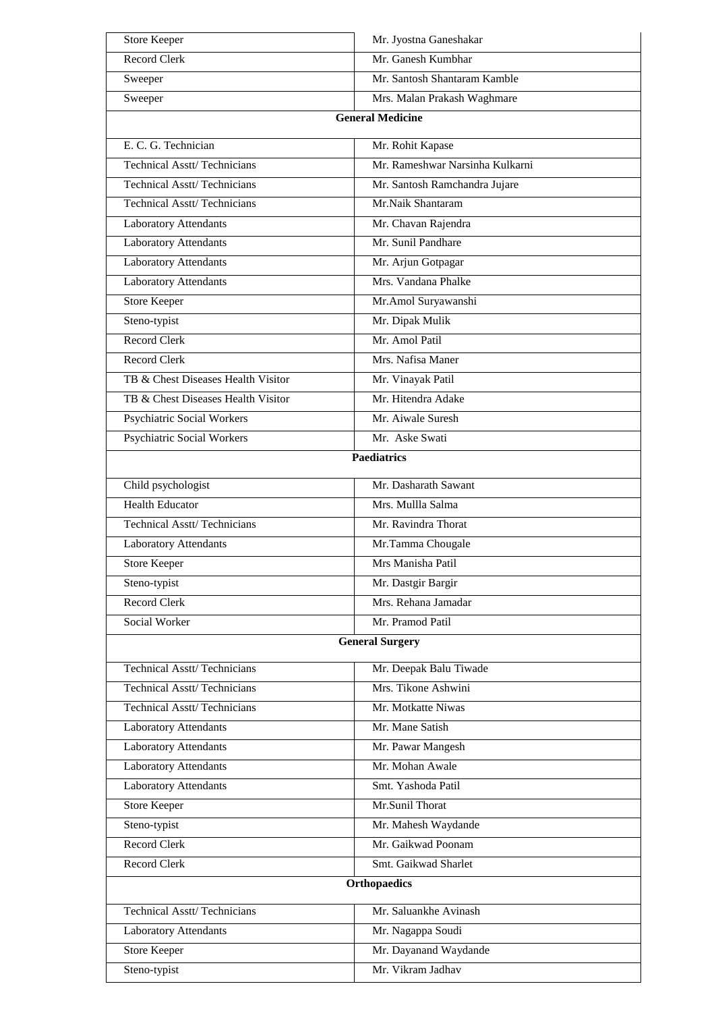| <b>Store Keeper</b>                | Mr. Jyostna Ganeshakar          |  |
|------------------------------------|---------------------------------|--|
| <b>Record Clerk</b>                | Mr. Ganesh Kumbhar              |  |
| Sweeper                            | Mr. Santosh Shantaram Kamble    |  |
| Sweeper                            | Mrs. Malan Prakash Waghmare     |  |
| <b>General Medicine</b>            |                                 |  |
| E. C. G. Technician                | Mr. Rohit Kapase                |  |
| <b>Technical Asstt/Technicians</b> | Mr. Rameshwar Narsinha Kulkarni |  |
| <b>Technical Asstt/Technicians</b> | Mr. Santosh Ramchandra Jujare   |  |
| <b>Technical Asstt/Technicians</b> | Mr.Naik Shantaram               |  |
| <b>Laboratory Attendants</b>       | Mr. Chavan Rajendra             |  |
| <b>Laboratory Attendants</b>       | Mr. Sunil Pandhare              |  |
| Laboratory Attendants              | Mr. Arjun Gotpagar              |  |
| <b>Laboratory Attendants</b>       | Mrs. Vandana Phalke             |  |
| <b>Store Keeper</b>                | Mr.Amol Suryawanshi             |  |
| Steno-typist                       | Mr. Dipak Mulik                 |  |
| <b>Record Clerk</b>                | Mr. Amol Patil                  |  |
| <b>Record Clerk</b>                | Mrs. Nafisa Maner               |  |
| TB & Chest Diseases Health Visitor | Mr. Vinayak Patil               |  |
| TB & Chest Diseases Health Visitor | Mr. Hitendra Adake              |  |
| Psychiatric Social Workers         | Mr. Aiwale Suresh               |  |
| Psychiatric Social Workers         | Mr. Aske Swati                  |  |
|                                    | <b>Paediatrics</b>              |  |
| Child psychologist                 | Mr. Dasharath Sawant            |  |
| <b>Health Educator</b>             | Mrs. Mullla Salma               |  |
| <b>Technical Asstt/Technicians</b> | Mr. Ravindra Thorat             |  |
| Laboratory Attendants              | Mr.Tamma Chougale               |  |
| <b>Store Keeper</b>                | Mrs Manisha Patil               |  |
| Steno-typist                       | Mr. Dastgir Bargir              |  |
| <b>Record Clerk</b>                | Mrs. Rehana Jamadar             |  |
| Social Worker                      | Mr. Pramod Patil                |  |
|                                    | <b>General Surgery</b>          |  |
|                                    |                                 |  |
| <b>Technical Asstt/Technicians</b> | Mr. Deepak Balu Tiwade          |  |
| <b>Technical Asstt/Technicians</b> | Mrs. Tikone Ashwini             |  |
| <b>Technical Asstt/Technicians</b> | Mr. Motkatte Niwas              |  |
| <b>Laboratory Attendants</b>       | Mr. Mane Satish                 |  |
| Laboratory Attendants              | Mr. Pawar Mangesh               |  |
| <b>Laboratory Attendants</b>       | Mr. Mohan Awale                 |  |
| <b>Laboratory Attendants</b>       | Smt. Yashoda Patil              |  |
| Store Keeper                       | Mr.Sunil Thorat                 |  |
| Steno-typist                       | Mr. Mahesh Waydande             |  |
| <b>Record Clerk</b>                | Mr. Gaikwad Poonam              |  |
| Record Clerk                       | Smt. Gaikwad Sharlet            |  |
|                                    | <b>Orthopaedics</b>             |  |
| <b>Technical Asstt/Technicians</b> | Mr. Saluankhe Avinash           |  |
| <b>Laboratory Attendants</b>       | Mr. Nagappa Soudi               |  |
| <b>Store Keeper</b>                | Mr. Dayanand Waydande           |  |
| Steno-typist                       | Mr. Vikram Jadhav               |  |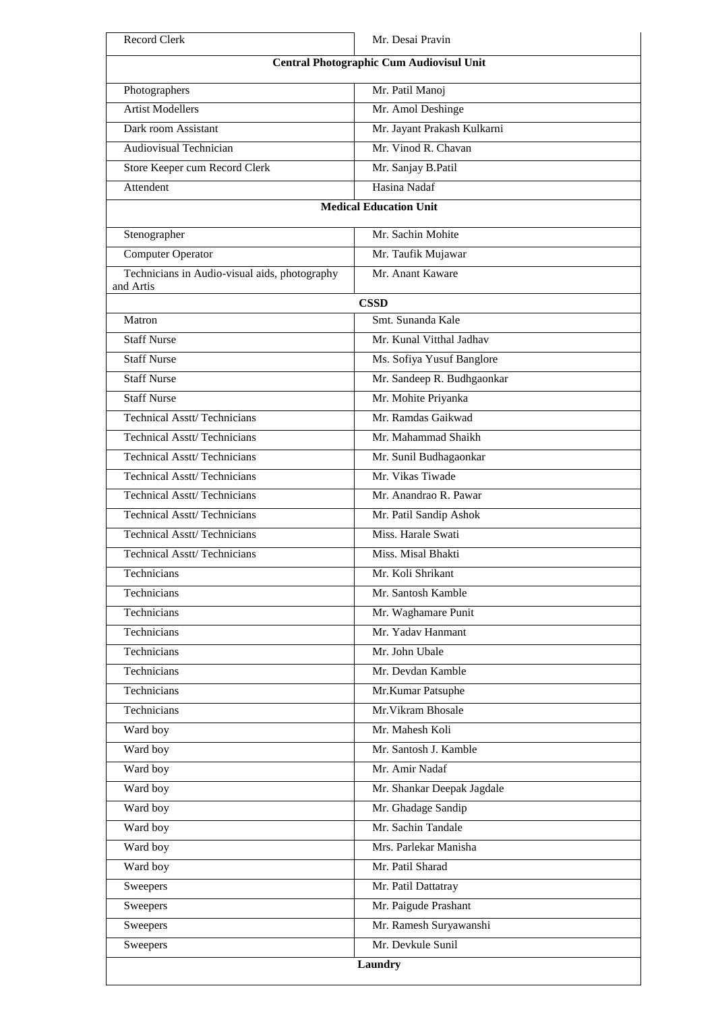| Record Clerk                                               | Mr. Desai Pravin            |
|------------------------------------------------------------|-----------------------------|
| <b>Central Photographic Cum Audiovisul Unit</b>            |                             |
| Photographers                                              | Mr. Patil Manoj             |
| <b>Artist Modellers</b>                                    | Mr. Amol Deshinge           |
| Dark room Assistant                                        | Mr. Jayant Prakash Kulkarni |
| <b>Audiovisual Technician</b>                              | Mr. Vinod R. Chavan         |
| Store Keeper cum Record Clerk                              | Mr. Sanjay B.Patil          |
| Attendent                                                  | Hasina Nadaf                |
| <b>Medical Education Unit</b>                              |                             |
| Stenographer                                               | Mr. Sachin Mohite           |
| <b>Computer Operator</b>                                   | Mr. Taufik Mujawar          |
| Technicians in Audio-visual aids, photography<br>and Artis | Mr. Anant Kaware            |
|                                                            | <b>CSSD</b>                 |
| Matron                                                     | Smt. Sunanda Kale           |
| <b>Staff Nurse</b>                                         | Mr. Kunal Vitthal Jadhav    |
| <b>Staff Nurse</b>                                         | Ms. Sofiya Yusuf Banglore   |
| <b>Staff Nurse</b>                                         | Mr. Sandeep R. Budhgaonkar  |
| <b>Staff Nurse</b>                                         | Mr. Mohite Priyanka         |
| <b>Technical Asstt/Technicians</b>                         | Mr. Ramdas Gaikwad          |
| <b>Technical Asstt/Technicians</b>                         | Mr. Mahammad Shaikh         |
| Technical Asstt/Technicians                                | Mr. Sunil Budhagaonkar      |
| <b>Technical Asstt/Technicians</b>                         | Mr. Vikas Tiwade            |
| <b>Technical Asstt/Technicians</b>                         | Mr. Anandrao R. Pawar       |
| <b>Technical Asstt/Technicians</b>                         | Mr. Patil Sandip Ashok      |
| <b>Technical Asstt/Technicians</b>                         | Miss. Harale Swati          |
| <b>Technical Asstt/Technicians</b>                         | Miss. Misal Bhakti          |
| Technicians                                                | Mr. Koli Shrikant           |
| Technicians                                                | Mr. Santosh Kamble          |
| Technicians                                                | Mr. Waghamare Punit         |
| Technicians                                                | Mr. Yadav Hanmant           |
| Technicians                                                | Mr. John Ubale              |
| Technicians                                                | Mr. Devdan Kamble           |
| Technicians                                                | Mr.Kumar Patsuphe           |
| Technicians                                                | Mr. Vikram Bhosale          |
| Ward boy                                                   | Mr. Mahesh Koli             |
| Ward boy                                                   | Mr. Santosh J. Kamble       |
| Ward boy                                                   | Mr. Amir Nadaf              |
| Ward boy                                                   | Mr. Shankar Deepak Jagdale  |
| Ward boy                                                   | Mr. Ghadage Sandip          |
| Ward boy                                                   | Mr. Sachin Tandale          |
| Ward boy                                                   | Mrs. Parlekar Manisha       |
| Ward boy                                                   | Mr. Patil Sharad            |
| Sweepers                                                   | Mr. Patil Dattatray         |
| Sweepers                                                   | Mr. Paigude Prashant        |
| Sweepers                                                   | Mr. Ramesh Suryawanshi      |
| Sweepers                                                   | Mr. Devkule Sunil           |
|                                                            | Laundry                     |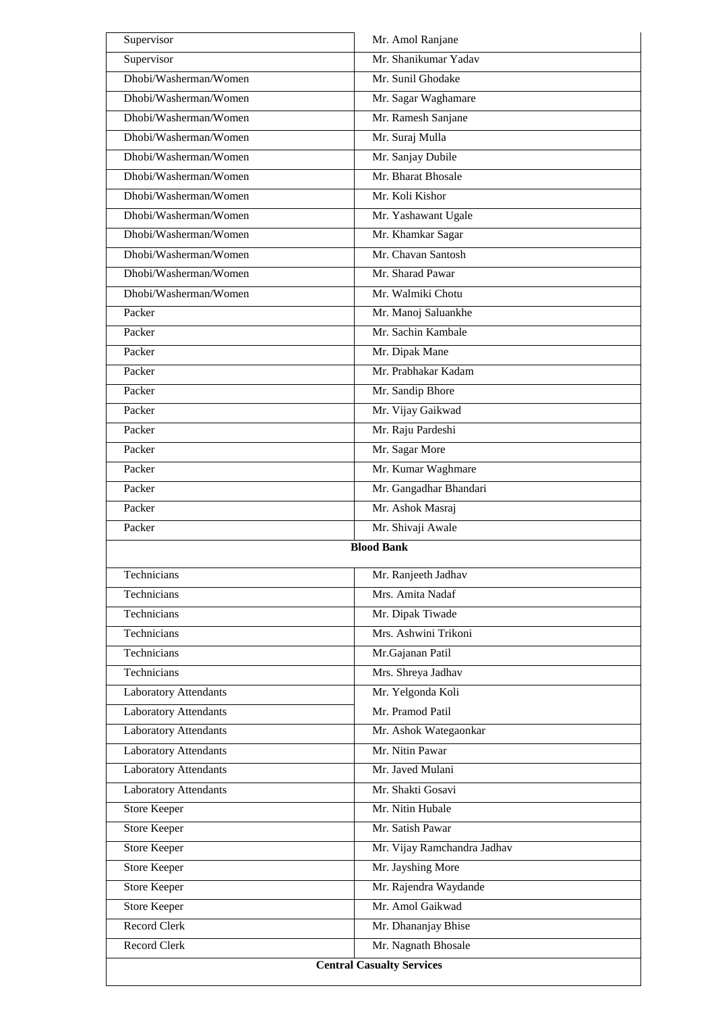| Supervisor                       | Mr. Amol Ranjane            |
|----------------------------------|-----------------------------|
| Supervisor                       | Mr. Shanikumar Yadav        |
| Dhobi/Washerman/Women            | Mr. Sunil Ghodake           |
| Dhobi/Washerman/Women            | Mr. Sagar Waghamare         |
| Dhobi/Washerman/Women            | Mr. Ramesh Sanjane          |
| Dhobi/Washerman/Women            | Mr. Suraj Mulla             |
| Dhobi/Washerman/Women            | Mr. Sanjay Dubile           |
| Dhobi/Washerman/Women            | Mr. Bharat Bhosale          |
| Dhobi/Washerman/Women            | Mr. Koli Kishor             |
| Dhobi/Washerman/Women            | Mr. Yashawant Ugale         |
| Dhobi/Washerman/Women            | Mr. Khamkar Sagar           |
| Dhobi/Washerman/Women            | Mr. Chavan Santosh          |
| Dhobi/Washerman/Women            | Mr. Sharad Pawar            |
| Dhobi/Washerman/Women            | Mr. Walmiki Chotu           |
| Packer                           | Mr. Manoj Saluankhe         |
| Packer                           | Mr. Sachin Kambale          |
| Packer                           | Mr. Dipak Mane              |
| Packer                           | Mr. Prabhakar Kadam         |
| Packer                           | Mr. Sandip Bhore            |
| Packer                           | Mr. Vijay Gaikwad           |
| Packer                           | Mr. Raju Pardeshi           |
| Packer                           | Mr. Sagar More              |
| Packer                           | Mr. Kumar Waghmare          |
| Packer                           | Mr. Gangadhar Bhandari      |
| Packer                           | Mr. Ashok Masraj            |
| Packer                           | Mr. Shivaji Awale           |
|                                  | <b>Blood Bank</b>           |
| Technicians                      | Mr. Ranjeeth Jadhav         |
| Technicians                      | Mrs. Amita Nadaf            |
| Technicians                      | Mr. Dipak Tiwade            |
| Technicians                      | Mrs. Ashwini Trikoni        |
| Technicians                      | Mr.Gajanan Patil            |
| Technicians                      | Mrs. Shreya Jadhav          |
| <b>Laboratory Attendants</b>     | Mr. Yelgonda Koli           |
| <b>Laboratory Attendants</b>     | Mr. Pramod Patil            |
| Laboratory Attendants            | Mr. Ashok Wategaonkar       |
| <b>Laboratory Attendants</b>     | Mr. Nitin Pawar             |
| <b>Laboratory Attendants</b>     | Mr. Javed Mulani            |
| Laboratory Attendants            | Mr. Shakti Gosavi           |
| <b>Store Keeper</b>              | Mr. Nitin Hubale            |
| <b>Store Keeper</b>              | Mr. Satish Pawar            |
| <b>Store Keeper</b>              | Mr. Vijay Ramchandra Jadhav |
| <b>Store Keeper</b>              | Mr. Jayshing More           |
| <b>Store Keeper</b>              | Mr. Rajendra Waydande       |
| <b>Store Keeper</b>              | Mr. Amol Gaikwad            |
| <b>Record Clerk</b>              | Mr. Dhananjay Bhise         |
| <b>Record Clerk</b>              | Mr. Nagnath Bhosale         |
| <b>Central Casualty Services</b> |                             |
|                                  |                             |